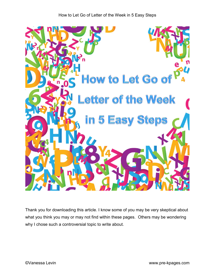

Thank you for downloading this article. I know some of you may be very skeptical about what you think you may or may not find within these pages. Others may be wondering why I chose such a controversial topic to write about.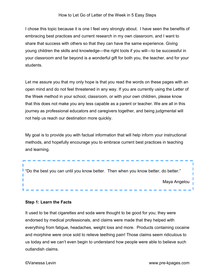I chose this topic because it is one I feel very strongly about. I have seen the benefits of embracing best practices and current research in my own classroom, and I want to share that success with others so that they can have the same experience. Giving young children the skills and knowledge—the right tools if you will—to be successful in your classroom and far beyond is a wonderful gift for both you, the teacher, and for your students.

Let me assure you that my only hope is that you read the words on these pages with an open mind and do not feel threatened in any way. If you are currently using the Letter of the Week method in your school, classroom, or with your own children, please know that this does not make you any less capable as a parent or teacher. We are all in this journey as professional educators and caregivers together, and being judgmental will not help us reach our destination more quickly.

My goal is to provide you with factual information that will help inform your instructional methods, and hopefully encourage you to embrace current best practices in teaching and learning.



### **Step 1: Learn the Facts**

It used to be that cigarettes and soda were thought to be good for you; they were endorsed by medical professionals, and claims were made that they helped with everything from fatigue, headaches, weight loss and more. Products containing cocaine and morphine were once sold to relieve teething pain! Those claims seem ridiculous to us today and we can't even begin to understand how people were able to believe such outlandish claims.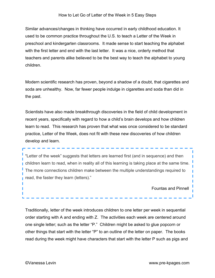Similar advances/changes in thinking have occurred in early childhood education. It used to be common practice throughout the U.S. to teach a Letter of the Week in preschool and kindergarten classrooms. It made sense to start teaching the alphabet with the first letter and end with the last letter. It was a nice, orderly method that teachers and parents alike believed to be the best way to teach the alphabet to young children.

Modern scientific research has proven, beyond a shadow of a doubt, that cigarettes and soda are unhealthy. Now, far fewer people indulge in cigarettes and soda than did in the past.

Scientists have also made breakthrough discoveries in the field of child development in recent years, specifically with regard to how a child's brain develops and how children learn to read. This research has proven that what was once considered to be standard practice, Letter of the Week, does not fit with these new discoveries of how children develop and learn.

"Letter of the week" suggests that letters are learned first (and in sequence) and then children learn to read, when in reality all of this learning is taking place at the same time. The more connections children make between the multiple understandings required to read, the faster they learn (letters)."

Fountas and Pinnell

Traditionally, letter of the week introduces children to one letter per week in sequential order starting with A and ending with Z. The activities each week are centered around one single letter; such as the letter "P." Children might be asked to glue popcorn or other things that start with the letter "P" to an outline of the letter on paper. The books read during the week might have characters that start with the letter P such as pigs and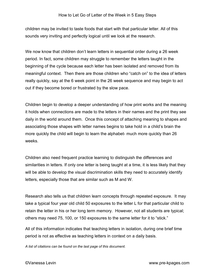children may be invited to taste foods that start with that particular letter. All of this sounds very inviting and perfectly logical until we look at the research.

We now know that children don't learn letters in sequential order during a 26 week period. In fact, some children may struggle to remember the letters taught in the beginning of the cycle because each letter has been isolated and removed from its meaningful context. Then there are those children who "catch on" to the idea of letters really quickly, say at the 6 week point in the 26 week sequence and may begin to act out if they become bored or frustrated by the slow pace.

Children begin to develop a deeper understanding of how print works and the meaning it holds when connections are made to the letters in their names and the print they see daily in the world around them. Once this concept of attaching meaning to shapes and associating those shapes with letter names begins to take hold in a child's brain the more quickly the child will begin to learn the alphabet- much more quickly than 26 weeks.

Children also need frequent practice learning to distinguish the differences and similarities in letters. If only one letter is being taught at a time, it is less likely that they will be able to develop the visual discrimination skills they need to accurately identify letters, especially those that are similar such as M and W.

Research also tells us that children learn concepts through repeated exposure. It may take a typical four year old child 50 exposures to the letter L for that particular child to retain the letter in his or her long term memory. However, not all students are typical; others may need 75, 100, or 150 exposures to the same letter for it to "stick."

All of this information indicates that teaching letters in isolation, during one brief time period is not as effective as teaching letters in context on a daily basis.

*A list of citations can be found on the last page of this document.*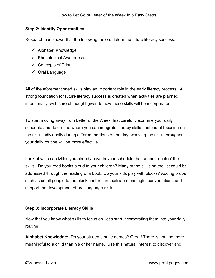# **Step 2: Identify Opportunities**

Research has shown that the following factors determine future literacy success:

- $\checkmark$  Alphabet Knowledge
- $\checkmark$  Phonological Awareness
- $\checkmark$  Concepts of Print
- $\checkmark$  Oral Language

All of the aforementioned skills play an important role in the early literacy process. A strong foundation for future literacy success is created when activities are planned intentionally, with careful thought given to how these skills will be incorporated.

To start moving away from Letter of the Week, first carefully examine your daily schedule and determine where you can integrate literacy skills. Instead of focusing on the skills individually during different portions of the day, weaving the skills throughout your daily routine will be more effective.

Look at which activities you already have in your schedule that support each of the skills. Do you read books aloud to your children? Many of the skills on the list could be addressed through the reading of a book. Do your kids play with blocks? Adding props such as small people to the block center can facilitate meaningful conversations and support the development of oral language skills.

# **Step 3: Incorporate Literacy Skills**

Now that you know what skills to focus on, let's start incorporating them into your daily routine.

**Alphabet Knowledge:** Do your students have names? Great! There is nothing more meaningful to a child than his or her name. Use this natural interest to discover and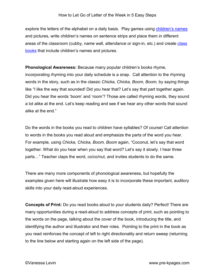explore the letters of the alphabet on a daily basis. Play games using [children's names](http://www.pre-kpages.com/teaching-names-in-preschool/) and pictures, write children's names on sentence strips and place them in different areas of the classroom (cubby, name wall, attendance or sign-in, etc.) and create [class](http://www.pre-kpages.com/classbooks/)  [books](http://www.pre-kpages.com/classbooks/) that include children's names and pictures.

**Phonological Awareness:** Because many popular children's books rhyme, incorporating rhyming into your daily schedule is a snap. Call attention to the rhyming words in the story, such as in the classic *Chicka, Chicka, Boom, Boom,* by saying things like "I like the way that sounded! Did you hear that? Let's say that part together again. Did you hear the words 'boom' and 'room'? Those are called rhyming words, they sound a lot alike at the end. Let's keep reading and see if we hear any other words that sound alike at the end."

Do the words in the books you read to children have syllables? Of course! Call attention to words in the books you read aloud and emphasize the parts of the word you hear. For example, using *Chicka, Chicka, Boom, Boom* again, "Coconut, let's say that word together. What do you hear when you say that word? Let's say it slowly. I hear three parts…" Teacher claps the word, co/co/nut, and invites students to do the same.

There are many more components of phonological awareness, but hopefully the examples given here will illustrate how easy it is to incorporate these important, auditory skills into your daily read-aloud experiences.

**Concepts of Print:** Do you read books aloud to your students daily? Perfect! There are many opportunities during a read-aloud to address concepts of print, such as pointing to the words on the page, talking about the cover of the book, introducing the title, and identifying the author and illustrator and their roles. Pointing to the print in the book as you read reinforces the concept of left to right directionality and return sweep (returning to the line below and starting again on the left side of the page).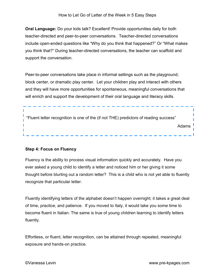**Oral Language:** Do your kids talk? Excellent! Provide opportunities daily for both teacher-directed and peer-to-peer conversations. Teacher-directed conversations include open-ended questions like "Why do you think that happened?" Or "What makes you think that?" During teacher-directed conversations, the teacher can scaffold and support the conversation.

Peer-to-peer conversations take place in informal settings such as the playground; block center, or dramatic play center. Let your children play and interact with others and they will have more opportunities for spontaneous, meaningful conversations that will enrich and support the development of their oral language and literacy skills.

"Fluent letter recognition is one of the (if not THE) predictors of reading success" ı Adams

# **Step 4: Focus on Fluency**

Fluency is the ability to process visual information quickly and accurately. Have you ever asked a young child to identify a letter and noticed him or her giving it some thought before blurting out a random letter? This is a child who is not yet able to fluently recognize that particular letter.

Fluently identifying letters of the alphabet doesn't happen overnight; it takes a great deal of time, practice, and patience. If you moved to Italy, it would take you some time to become fluent in Italian. The same is true of young children learning to identify letters fluently.

Effortless, or fluent, letter recognition, can be attained through repeated, meaningful exposure and hands-on practice.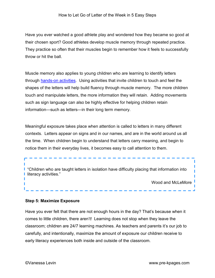Have you ever watched a good athlete play and wondered how they became so good at their chosen sport? Good athletes develop muscle memory through repeated practice. They practice so often that their muscles begin to remember how it feels to successfully throw or hit the ball.

Muscle memory also applies to young children who are learning to identify letters through [hands-on activities.](http://www.pre-kpages.com/alphabet/) Using activities that invite children to touch and feel the shapes of the letters will help build fluency through muscle memory. The more children touch and manipulate letters, the more information they will retain. Adding movements such as sign language can also be highly effective for helping children retain information—such as letters—in their long term memory.

Meaningful exposure takes place when attention is called to letters in many different contexts. Letters appear on signs and in our names, and are in the world around us all the time. When children begin to understand that letters carry meaning, and begin to notice them in their everyday lives, it becomes easy to call attention to them.

**I** "Children who are taught letters in isolation have difficulty placing that information into **I** literacy activities."

Wood and McLeMore

п

#### **Step 5: Maximize Exposure**

Have you ever felt that there are not enough hours in the day? That's because when it comes to little children, there aren't! Learning does not stop when they leave the classroom; children are 24/7 learning machines. As teachers and parents it's our job to carefully, and intentionally, maximize the amount of exposure our children receive to early literacy experiences both inside and outside of the classroom.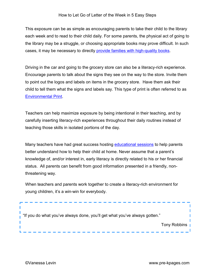This exposure can be as simple as encouraging parents to take their child to the library each week and to read to their child daily. For some parents, the physical act of going to the library may be a struggle, or choosing appropriate books may prove difficult. In such cases, it may be necessary to directly [provide families with high-quality books.](http://www.pre-kpages.com/take-home-book-program/)

Driving in the car and going to the grocery store can also be a literacy-rich experience. Encourage parents to talk about the signs they see on the way to the store. Invite them to point out the logos and labels on items in the grocery store. Have them ask their child to tell them what the signs and labels say. This type of print is often referred to as [Environmental Print.](http://www.pre-kpages.com/environmental-print-activities/)

Teachers can help maximize exposure by being intentional in their teaching, and by carefully inserting literacy-rich experiences throughout their daily routines instead of teaching those skills in isolated portions of the day.

Many teachers have had great success hosting [educational sessions](http://www.pre-kpages.com/familynight/) to help parents better understand how to help their child at home. Never assume that a parent's knowledge of, and/or interest in, early literacy is directly related to his or her financial status. All parents can benefit from good information presented in a friendly, nonthreatening way.

When teachers and parents work together to create a literacy-rich environment for young children, it's a win-win for everybody.